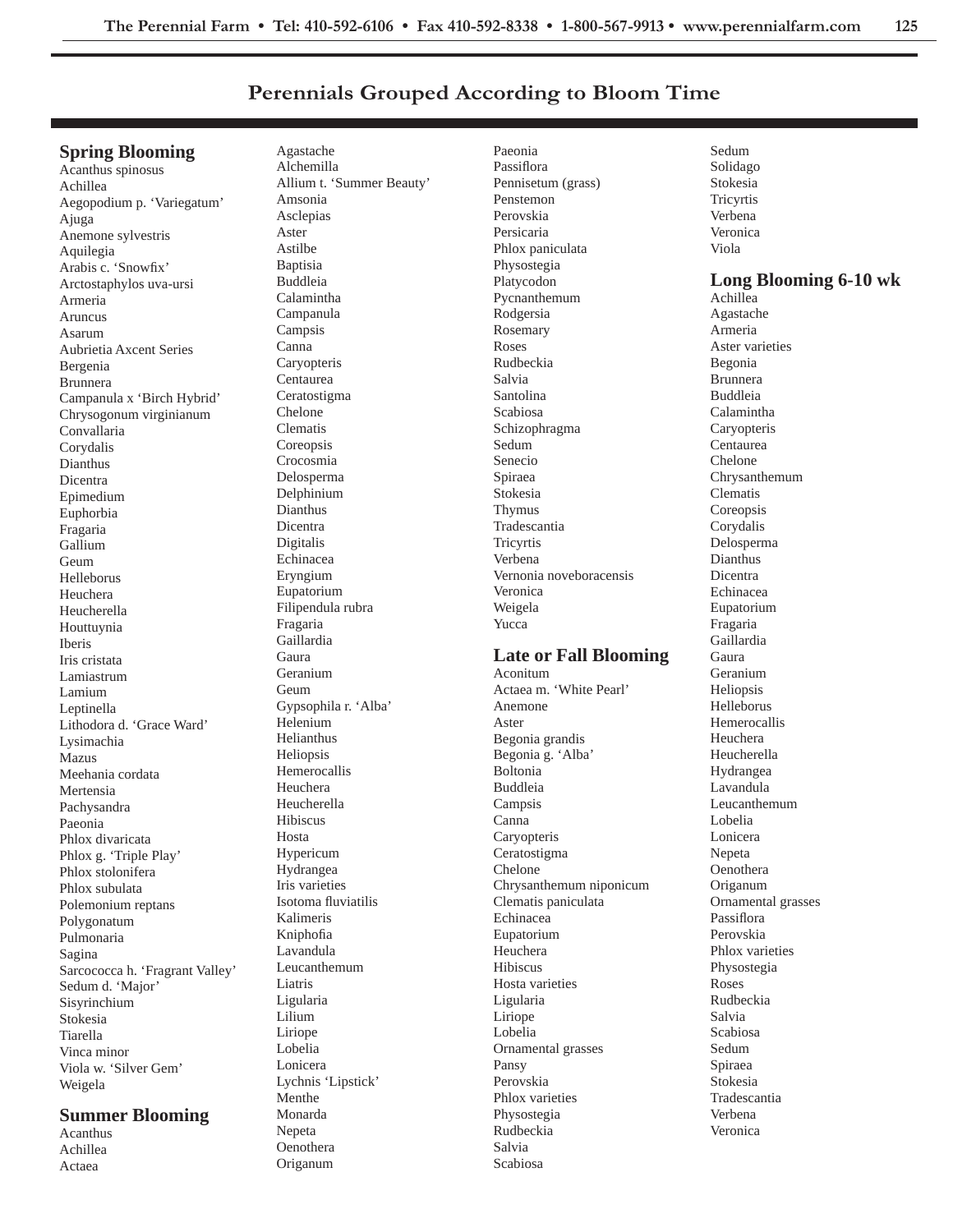# **Perennials Grouped According to Bloom Time**

# **Spring Blooming**

Acanthus spinosus Achillea Aegopodium p. 'Variegatum' Ajuga Anemone sylvestris Aquilegia Arabis c. 'Snowfix' Arctostaphylos uva-ursi Armeria Aruncus Asarum Aubrietia Axcent Series Bergenia Brunnera Campanula x 'Birch Hybrid' Chrysogonum virginianum Convallaria Corydalis Dianthus Dicentra Epimedium Euphorbia Fragaria Gallium Geum Helleborus Heuchera Heucherella Houttuynia Iberis Iris cristata Lamiastrum Lamium Leptinella Lithodora d. 'Grace Ward' Lysimachia Mazus Meehania cordata Mertensia Pachysandra Paeonia Phlox divaricata Phlox g. 'Triple Play' Phlox stolonifera Phlox subulata Polemonium reptans Polygonatum Pulmonaria Sagina Sarcococca h. 'Fragrant Valley' Sedum d. 'Major' Sisyrinchium Stokesia Tiarella Vinca minor Viola w. 'Silver Gem' Weigela

## **Summer Blooming**

Acanthus Achillea Actaea

Agastache Alchemilla Allium t. 'Summer Beauty' Amsonia Asclepias Aster Astilbe Baptisia Buddleia Calamintha Campanula Campsis Canna **Caryopteris** Centaurea Ceratostigma Chelone Clematis **Coreopsis** Crocosmia Delosperma Delphinium Dianthus Dicentra Digitalis Echinacea Eryngium Eupatorium Filipendula rubra Fragaria Gaillardia Gaura Geranium Geum Gypsophila r. 'Alba' Helenium Helianthus Heliopsis Hemerocallis Heuchera Heucherella Hibiscus Hosta Hypericum Hydrangea Iris varieties Isotoma fluviatilis Kalimeris Kniphofia Lavandula Leucanthemum Liatris Ligularia Lilium Liriope Lobelia Lonicera Lychnis 'Lipstick' Menthe Monarda Nepeta Oenothera

Origanum

Paeonia Passiflora Pennisetum (grass) Penstemon Perovskia Persicaria Phlox paniculata Physostegia Platycodon Pycnanthemum Rodgersia Rosemary Roses Rudbeckia Salvia Santolina Scabiosa Schizophragma Sedum Senecio Spiraea Stokesia Thymus Tradescantia **Tricyrtis** Verbena Vernonia noveboracensis Veronica Weigela Yucca

### **Late or Fall Blooming**

Aconitum Actaea m. 'White Pearl' Anemone Aster Begonia grandis Begonia g. 'Alba' Boltonia Buddleia Campsis Canna Caryopteris Ceratostigma Chelone Chrysanthemum niponicum Clematis paniculata Echinacea Eupatorium Heuchera Hibiscus Hosta varieties Ligularia Liriope Lobelia Ornamental grasses Pansy Perovskia Phlox varieties Physostegia Rudbeckia Salvia Scabiosa

Sedum Solidago Stokesia Tricyrtis Verbena Veronica Viola **Long Blooming 6-10 wk** Achillea Agastache Armeria Aster varieties Begonia Brunnera Buddleia Calamintha **Caryopteris** Centaurea Chelone Chrysanthemum Clematis **Coreopsis** Corydalis Delosperma Dianthus Dicentra Echinacea Eupatorium Fragaria Gaillardia Gaura Geranium Heliopsis Helleborus Hemerocallis Heuchera Heucherella Hydrangea Lavandula Leucanthemum Lobelia Lonicera Nepeta Oenothera Origanum Ornamental grasses Passiflora Perovskia Phlox varieties Physostegia Roses Rudbeckia Salvia Scabiosa Sedum Spiraea Stokesia Tradescantia Verbena Veronica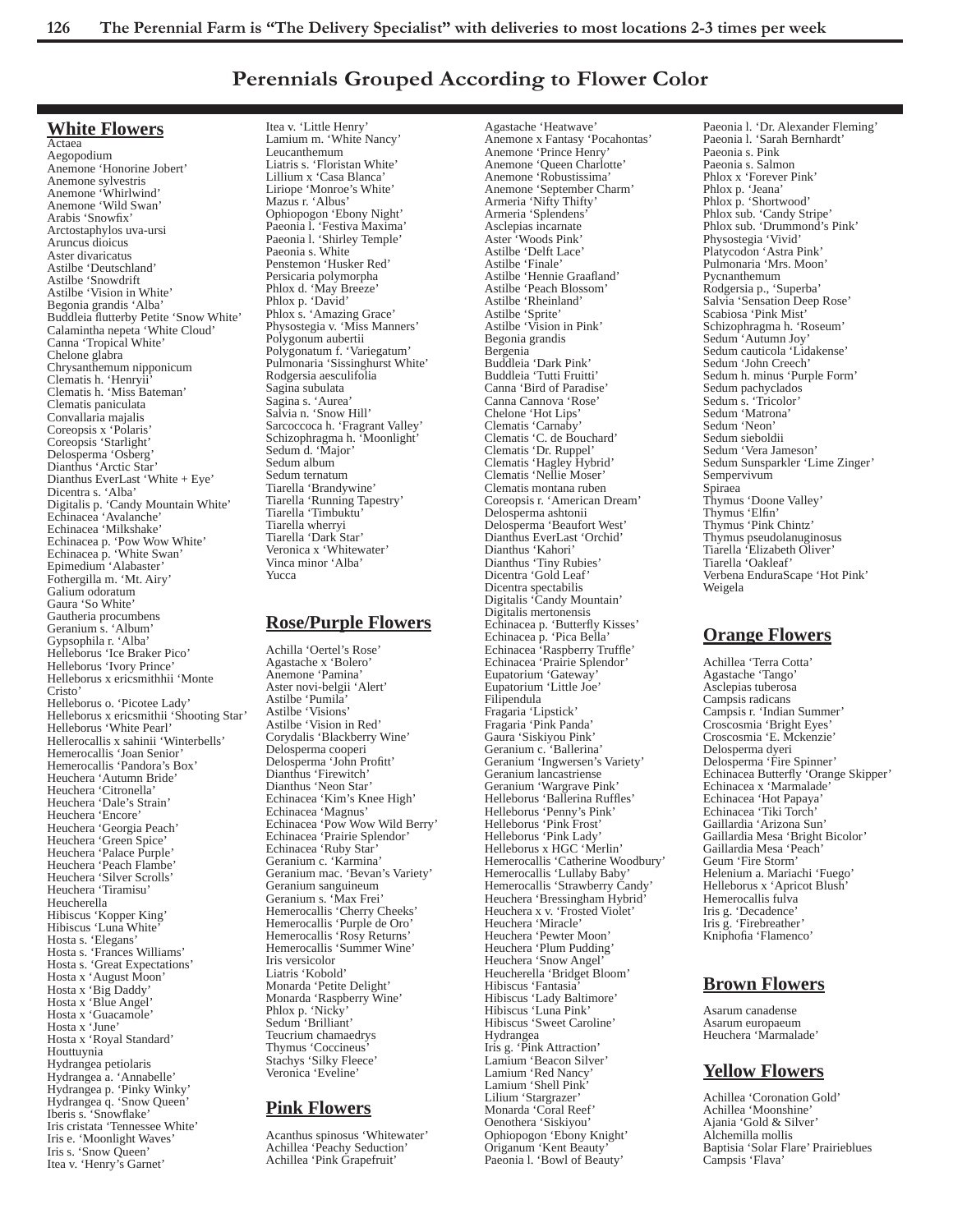# **Perennials Grouped According to Flower Color**

Agastache 'Heatwave'

### **White Flowers**

Actaea Aegopodium Anemone 'Honorine Jobert' Anemone sylvestris Anemone 'Whirlwind' Anemone 'Wild Swan' Arabis 'Snowfix' Arctostaphylos uva-ursi Aruncus dioicus Aster divaricatus Astilbe 'Deutschland' Astilbe 'Snowdrift Astilbe 'Vision in White' Begonia grandis 'Alba' Buddleia flutterby Petite 'Snow White' Calamintha nepeta 'White Cloud' Canna 'Tropical White' Chelone glabra Chrysanthemum nipponicum Clematis h. 'Henryii' Clematis h. 'Miss Bateman' Clematis paniculata Convallaria majalis Coreopsis x 'Polaris' Coreopsis 'Starlight' Delosperma 'Osberg' Dianthus 'Arctic Star' Dianthus EverLast 'White + Eye' Dicentra s. 'Alba' Digitalis p. 'Candy Mountain White' Echinacea 'Avalanche' Echinacea 'Milkshake' Echinacea p. 'Pow Wow White' Echinacea p. 'White Swan' Epimedium 'Alabaster' Fothergilla m. 'Mt. Airy' Galium odoratum Gaura 'So White' Gautheria procumbens Geranium s. 'Album' Gypsophila r. 'Alba' Helleborus 'Ice Braker Pico' Helleborus 'Ivory Prince' Helleborus x ericsmithhii 'Monte Cristo' Helleborus o. 'Picotee Lady' Helleborus x ericsmithii 'Shooting Star' Helleborus 'White Pearl' Hellerocallis x sahinii 'Winterbells' Hemerocallis 'Joan Senior' Hemerocallis 'Pandora's Box' Heuchera 'Autumn Bride' Heuchera 'Citronella' Heuchera 'Dale's Strain' Heuchera 'Encore' Heuchera 'Georgia Peach' Heuchera 'Green Spice' Heuchera 'Palace Purple' Heuchera 'Peach Flambe' Heuchera 'Silver Scrolls' Heuchera 'Tiramisu' Heucherella Hibiscus 'Kopper King' Hibiscus 'Luna White' Hosta s. 'Elegans' Hosta s. 'Frances Williams' Hosta s. 'Great Expectations' Hosta x 'August Moon' Hosta x 'Big Daddy' Hosta x 'Blue Angel' Hosta x 'Guacamole' Hosta x 'June' Hosta x 'Royal Standard' Houttuynia Hydrangea petiolaris Hydrangea a. 'Annabelle' Hydrangea p. 'Pinky Winky' Hydrangea q. 'Snow Queen' Iberis s. 'Snowflake' Iris cristata 'Tennessee White' Iris e. 'Moonlight Waves' Iris s. 'Snow Queen' Itea v. 'Henry's Garnet'

Itea v. 'Little Henry' Lamium m. 'White Nancy' Leucanthemum Liatris s. 'Floristan White' Lillium x 'Casa Blanca' Liriope 'Monroe's White' Mazus r. 'Albus' Ophiopogon 'Ebony Night' Paeonia l. 'Festiva Maxima' Paeonia l. 'Shirley Temple' Paeonia s. White Penstemon 'Husker Red' Persicaria polymorpha Phlox d. 'May Breeze' Phlox p. 'David' Phlox s. 'Amazing Grace' Physostegia v. 'Miss Manners' Polygonum aubertii Polygonatum f. 'Variegatum' Pulmonaria 'Sissinghurst White' Rodgersia aesculifolia Sagina subulata Sagina s. 'Aurea' Salvia n. 'Snow Hill' Sarcoccoca h. 'Fragrant Valley' Schizophragma h. 'Moonlight' Sedum d. 'Major' Sedum album Sedum ternatum Tiarella 'Brandywine' Tiarella 'Running Tapestry' Tiarella 'Timbuktu' Tiarella wherryi Tiarella 'Dark Star' Veronica x 'Whitewater' Vinca minor 'Alba' Yucca

#### **Rose/Purple Flowers**

Achilla 'Oertel's Rose' Agastache x 'Bolero' Anemone 'Pamina' Aster novi-belgii 'Alert' Astilbe 'Pumila' Astilbe 'Visions' Astilbe 'Vision in Red' Corydalis 'Blackberry Wine' Delosperma cooperi Delosperma 'John Profitt' Dianthus 'Firewitch' Dianthus 'Neon Star' Echinacea 'Kim's Knee High' Echinacea 'Magnus' Echinacea 'Pow Wow Wild Berry' Echinacea 'Prairie Splendor' Echinacea 'Ruby Star' Geranium c. 'Karmina' Geranium mac. 'Bevan's Variety' Geranium sanguineum Geranium s. 'Max Frei' Hemerocallis 'Cherry Cheeks' Hemerocallis 'Purple de Oro' Hemerocallis 'Rosy Returns' Hemerocallis 'Summer Wine' Iris versicolor Liatris 'Kobold' Monarda 'Petite Delight' Monarda 'Raspberry Wine' Phlox p. 'Nicky' Sedum 'Brilliant' Teucrium chamaedrys Thymus 'Coccineus' Stachys 'Silky Fleece' Veronica 'Eveline'

# **Pink Flowers**

Acanthus spinosus 'Whitewater' Achillea 'Peachy Seduction' Achillea 'Pink Grapefruit'

Anemone x Fantasy 'Pocahontas' Anemone 'Prince Henry' Anemone 'Queen Charlotte' Anemone 'Robustissima' Anemone 'September Charm' Armeria 'Nifty Thifty' Armeria 'Splendens' Asclepias incarnate Aster 'Woods Pink' Astilbe 'Delft Lace' Astilbe 'Finale' Astilbe 'Hennie Graafland' Astilbe 'Peach Blossom' Astilbe 'Rheinland' Astilbe 'Sprite' Astilbe 'Vision in Pink' Begonia grandis Bergenia Buddleia 'Dark Pink' Buddleia 'Tutti Fruitti' Canna 'Bird of Paradise' Canna Cannova 'Rose' Chelone 'Hot Lips' Clematis 'Carnaby' Clematis 'C. de Bouchard' Clematis 'Dr. Ruppel' Clematis 'Hagley Hybrid' Clematis 'Nellie Moser' Clematis montana ruben Coreopsis r. 'American Dream' Delosperma ashtonii Delosperma 'Beaufort West' Dianthus EverLast 'Orchid' Dianthus 'Kahori' Dianthus 'Tiny Rubies' Dicentra 'Gold Leaf' Dicentra spectabilis Digitalis 'Candy Mountain' Digitalis mertonensis Echinacea p. 'Butterfly Kisses' Echinacea p. 'Pica Bella' Echinacea 'Raspberry Truffle' Echinacea 'Prairie Splendor' Eupatorium 'Gateway' Eupatorium 'Little Joe' Filipendula Fragaria 'Lipstick' Fragaria 'Pink Panda' Gaura 'Siskiyou Pink' Geranium c. 'Ballerina' Geranium 'Ingwersen's Variety' Geranium lancastriense Geranium 'Wargrave Pink' Helleborus 'Ballerina Ruffles' Helleborus 'Penny's Pink' Helleborus 'Pink Frost' Helleborus 'Pink Lady' Helleborus x HGC 'Merlin' Hemerocallis 'Catherine Woodbury' Hemerocallis 'Lullaby Baby' Hemerocallis 'Strawberry Candy' Heuchera 'Bressingham Hybrid' Heuchera x v. 'Frosted Violet' Heuchera 'Miracle' Heuchera 'Pewter Moon' Heuchera 'Plum Pudding' Heuchera 'Snow Angel' Heucherella 'Bridget Bloom' Hibiscus 'Fantasia' Hibiscus 'Lady Baltimore' Hibiscus 'Luna Pink' Hibiscus 'Sweet Caroline' Hydrangea Iris g. 'Pink Attraction' Lamium 'Beacon Silver' Lamium 'Red Nancy' Lamium 'Shell Pink' Lilium 'Stargrazer' Monarda 'Coral Reef' Oenothera 'Siskiyou' Ophiopogon 'Ebony Knight' Origanum 'Kent Beauty' Paeonia l. 'Bowl of Beauty'

Paeonia l. 'Dr. Alexander Fleming' Paeonia l. 'Sarah Bernhardt' Paeonia s. Pink Paeonia s. Salmon Phlox x 'Forever Pink' Phlox p. 'Jeana' Phlox p. 'Shortwood' Phlox sub. 'Candy Stripe' Phlox sub. 'Drummond's Pink' Physostegia 'Vivid' Platycodon 'Astra Pink' Pulmonaria 'Mrs. Moon' Pycnanthemum Rodgersia p., 'Superba' Salvia 'Sensation Deep Rose' Scabiosa 'Pink Mist' Schizophragma h. 'Roseum' Sedum 'Autumn Joy' Sedum cauticola 'Lidakense' Sedum 'John Creech' Sedum h. minus 'Purple Form' Sedum pachyclados Sedum s. 'Tricolor' Sedum 'Matrona' Sedum 'Neon' Sedum sieboldii Sedum 'Vera Jameson' Sedum Sunsparkler 'Lime Zinger' Sempervivum Spiraea Thymus 'Doone Valley' Thymus 'Elfin' Thymus 'Pink Chintz' Thymus pseudolanuginosus Tiarella 'Elizabeth Oliver' Tiarella 'Oakleaf' Verbena EnduraScape 'Hot Pink' Weigela

## **Orange Flowers**

Achillea 'Terra Cotta' Agastache 'Tango' Asclepias tuberosa Campsis radicans Campsis r. 'Indian Summer' Croscosmia 'Bright Eyes' Croscosmia 'E. Mckenzie' Delosperma dyeri Delosperma 'Fire Spinner' Echinacea Butterfly 'Orange Skipper' Echinacea x 'Marmalade' Echinacea 'Hot Papaya' Echinacea 'Tiki Torch' Gaillardia 'Arizona Sun' Gaillardia Mesa 'Bright Bicolor' Gaillardia Mesa 'Peach' Geum 'Fire Storm' Helenium a. Mariachi 'Fuego' Helleborus x 'Apricot Blush' Hemerocallis fulva Iris g. 'Decadence' Iris g. 'Firebreather' Kniphofia 'Flamenco'

# **Brown Flowers**

Asarum canadense Asarum europaeum Heuchera 'Marmalade'

# **Yellow Flowers**

Achillea 'Coronation Gold' Achillea 'Moonshine' Ajania 'Gold & Silver' Alchemilla mollis Baptisia 'Solar Flare' Prairieblues Campsis 'Flava'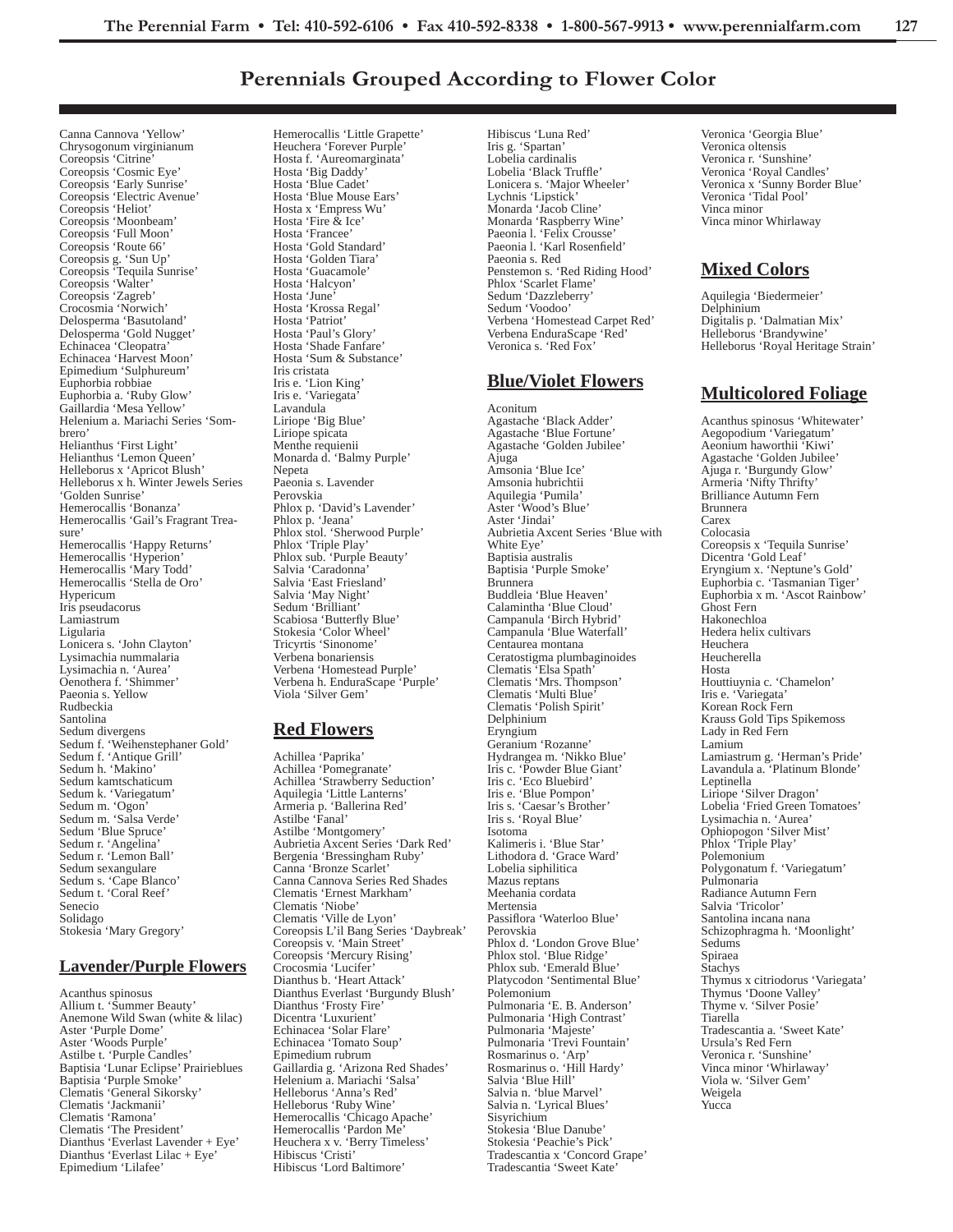# **Perennials Grouped According to Flower Color**

Canna Cannova 'Yellow' Chrysogonum virginianum Coreopsis 'Citrine' Coreopsis 'Cosmic Eye' Coreopsis 'Early Sunrise' Coreopsis 'Electric Avenue' Coreopsis 'Heliot' Coreopsis 'Moonbeam' Coreopsis 'Full Moon' Coreopsis 'Route 66' Coreopsis g. 'Sun Up' Coreopsis 'Tequila Sunrise' Coreopsis 'Walter' Coreopsis 'Zagreb' Crocosmia 'Norwich' Delosperma 'Basutoland' Delosperma 'Gold Nugget' Echinacea 'Cleopatra' Echinacea 'Harvest Moon' Epimedium 'Sulphureum' Euphorbia robbiae Euphorbia a. 'Ruby Glow' Gaillardia 'Mesa Yellow' Helenium a. Mariachi Series 'Sombrero' Helianthus 'First Light' Helianthus 'Lemon Queen' Helleborus x 'Apricot Blush' Helleborus x h. Winter Jewels Series 'Golden Sunrise' Hemerocallis 'Bonanza' Hemerocallis 'Gail's Fragrant Treasure' Hemerocallis 'Happy Returns' Hemerocallis 'Hyperion' Hemerocallis 'Mary Todd' Hemerocallis 'Stella de Oro' Hypericum Iris pseudacorus Lamiastrum Ligularia Lonicera s. 'John Clayton' Lysimachia nummalaria Lysimachia n. 'Aurea' Oenothera f. 'Shimmer' Paeonia s. Yellow Rudbeckia Santolina Sedum divergens Sedum f. 'Weihenstephaner Gold' Sedum f. 'Antique Grill' Sedum h. 'Makino' Sedum kamtschaticum Sedum k. 'Variegatum' Sedum m. 'Ogon' Sedum m. 'Salsa Verde' Sedum 'Blue Spruce' Sedum r. 'Angelina' Sedum r. 'Lemon Ball' Sedum sexangulare Sedum s. 'Cape Blanco' Sedum t. 'Coral Reef' Senecio Solidago Stokesia 'Mary Gregory'

## **Lavender/Purple Flowers**

Acanthus spinosus Allium t. 'Summer Beauty' Anemone Wild Swan (white & lilac) Aster 'Purple Dome' Aster 'Woods Purple' Astilbe t. 'Purple Candles' Baptisia 'Lunar Eclipse' Prairieblues Baptisia 'Purple Smoke' Clematis 'General Sikorsky' Clematis 'Jackmanii' Clematis 'Ramona' Clematis 'The President' Dianthus 'Everlast Lavender + Eye' Dianthus 'Everlast Lilac + Eye' Epimedium 'Lilafee'

Hemerocallis 'Little Grapette' Heuchera 'Forever Purple' Hosta f. 'Aureomarginata' Hosta 'Big Daddy' Hosta 'Blue Cadet' Hosta 'Blue Mouse Ears' Hosta x 'Empress Wu' Hosta 'Fire & Ice' Hosta 'Francee' Hosta 'Gold Standard' Hosta 'Golden Tiara' Hosta 'Guacamole' Hosta 'Halcyon' Hosta 'June' Hosta 'Krossa Regal' Hosta 'Patriot' Hosta 'Paul's Glory' Hosta 'Shade Fanfare' Hosta 'Sum & Substance' Iris cristata Iris e. 'Lion King' Iris e. 'Variegata' Lavandula Liriope 'Big Blue' Liriope spicata Menthe requienii Monarda d. 'Balmy Purple' Nepeta Paeonia s. Lavender Perovskia Phlox p. 'David's Lavender' Phlox p. 'Jeana' Phlox stol. 'Sherwood Purple' Phlox 'Triple Play' Phlox sub. 'Purple Beauty' Salvia 'Caradonna' Salvia 'East Friesland' Salvia 'May Night' Sedum 'Brilliant' Scabiosa 'Butterfly Blue' Stokesia 'Color Wheel' Tricyrtis 'Sinonome' Verbena bonariensis Verbena 'Homestead Purple' Verbena h. EnduraScape 'Purple' Viola 'Silver Gem'

# **Red Flowers**

Achillea 'Paprika' Achillea 'Pomegranate' Achillea 'Strawberry Seduction' Aquilegia 'Little Lanterns' Armeria p. 'Ballerina Red' Astilbe 'Fanal' Astilbe 'Montgomery' Aubrietia Axcent Series 'Dark Red' Bergenia 'Bressingham Ruby' Canna 'Bronze Scarlet' Canna Cannova Series Red Shades Clematis 'Ernest Markham' Clematis 'Niobe' Clematis 'Ville de Lyon' Coreopsis L'il Bang Series 'Daybreak' Coreopsis v. 'Main Street' Coreopsis 'Mercury Rising' Crocosmia 'Lucifer' Dianthus b. 'Heart Attack' Dianthus Everlast 'Burgundy Blush' Dianthus 'Frosty Fire' Dicentra 'Luxurient' Echinacea 'Solar Flare' Echinacea 'Tomato Soup' Epimedium rubrum Gaillardia g. 'Arizona Red Shades' Helenium a. Mariachi 'Salsa' Helleborus 'Anna's Red' Helleborus 'Ruby Wine' Hemerocallis 'Chicago Apache' Hemerocallis 'Pardon Me' Heuchera x v. 'Berry Timeless' Hibiscus 'Cristi' Hibiscus 'Lord Baltimore'

Hibiscus 'Luna Red' Iris g. 'Spartan' Lobelia cardinalis Lobelia 'Black Truffle' Lonicera s. 'Major Wheeler' Lychnis 'Lipstick' Monarda 'Jacob Cline' Monarda 'Raspberry Wine' Paeonia l. 'Felix Crousse' Paeonia l. 'Karl Rosenfield' Paeonia s. Red Penstemon s. 'Red Riding Hood' Phlox 'Scarlet Flame' Sedum 'Dazzleberry' Sedum 'Voodoo' Verbena 'Homestead Carpet Red' Verbena EnduraScape 'Red' Veronica s. 'Red Fox'

## **Blue/Violet Flowers**

Aconitum Agastache 'Black Adder' Agastache 'Blue Fortune' Agastache 'Golden Jubilee' Ajuga Amsonia 'Blue Ice' Amsonia hubrichtii Aquilegia 'Pumila' Aster 'Wood's Blue' Aster 'Jindai' Aubrietia Axcent Series 'Blue with White Eye' Baptisia australis Baptisia 'Purple Smoke' Brunnera Buddleia 'Blue Heaven' Calamintha 'Blue Cloud' Campanula 'Birch Hybrid' Campanula 'Blue Waterfall' Centaurea montana Ceratostigma plumbaginoides Clematis 'Elsa Spath' Clematis 'Mrs. Thompson' Clematis 'Multi Blue' Clematis 'Polish Spirit' Delphinium Eryngium Geranium 'Rozanne' Hydrangea m. 'Nikko Blue' Iris c. 'Powder Blue Giant' Iris c. 'Eco Bluebird' Iris e. 'Blue Pompon' Iris s. 'Caesar's Brother' Iris s. 'Royal Blue' Isotoma Kalimeris i. 'Blue Star' Lithodora d. 'Grace Ward' Lobelia siphilitica Mazus reptans Meehania cordata Mertensia Passiflora 'Waterloo Blue' Perovskia Phlox d. 'London Grove Blue' Phlox stol. 'Blue Ridge' Phlox sub. 'Emerald Blue' Platycodon 'Sentimental Blue' Polemonium Pulmonaria 'E. B. Anderson' Pulmonaria 'High Contrast' Pulmonaria 'Majeste' Pulmonaria 'Trevi Fountain' Rosmarinus o. 'Arp' Rosmarinus o. 'Hill Hardy' Salvia 'Blue Hill' Salvia n. 'blue Marvel' Salvia n. 'Lyrical Blues' **Sisyrichium** Stokesia 'Blue Danube' Stokesia 'Peachie's Pick' Tradescantia x 'Concord Grape' Tradescantia 'Sweet Kate'

Veronica 'Georgia Blue' Veronica oltensis Veronica r. 'Sunshine' Veronica 'Royal Candles' Veronica x 'Sunny Border Blue' Veronica 'Tidal Pool' Vinca minor Vinca minor Whirlaway

# **Mixed Colors**

Aquilegia 'Biedermeier' Delphinium Digitalis p. 'Dalmatian Mix' Helleborus 'Brandywine' Helleborus 'Royal Heritage Strain'

# **Multicolored Foliage**

Acanthus spinosus 'Whitewater' Aegopodium 'Variegatum' Aeonium haworthii 'Kiwi' Agastache 'Golden Jubilee' Ajuga r. 'Burgundy Glow' Armeria 'Nifty Thrifty' Brilliance Autumn Fern Brunnera Carex Colocasia Coreopsis x 'Tequila Sunrise' Dicentra 'Gold Leaf' Eryngium x. 'Neptune's Gold' Euphorbia c. 'Tasmanian Tiger' Euphorbia x m. 'Ascot Rainbow' Ghost Fern Hakonechloa Hedera helix cultivars Heuchera Heucherella Hosta Houttiuynia c. 'Chamelon' Iris e. 'Variegata' Korean Rock Fern Krauss Gold Tips Spikemoss Lady in Red Fern Lamium Lamiastrum g. 'Herman's Pride' Lavandula a. 'Platinum Blonde' Leptinella Liriope 'Silver Dragon' Lobelia 'Fried Green Tomatoes' Lysimachia n. 'Aurea' Ophiopogon 'Silver Mist' Phlox 'Triple Play' Polemonium Polygonatum f. 'Variegatum' Pulmonaria Radiance Autumn Fern Salvia 'Tricolor' Santolina incana nana Schizophragma h. 'Moonlight' Sedums Spiraea **Stachys** Thymus x citriodorus 'Variegata' Thymus 'Doone Valley' Thyme v. 'Silver Posie' Tiarella Tradescantia a. 'Sweet Kate' Ursula's Red Fern Veronica r. 'Sunshine' Vinca minor 'Whirlaway' Viola w. 'Silver Gem' Weigela Yucca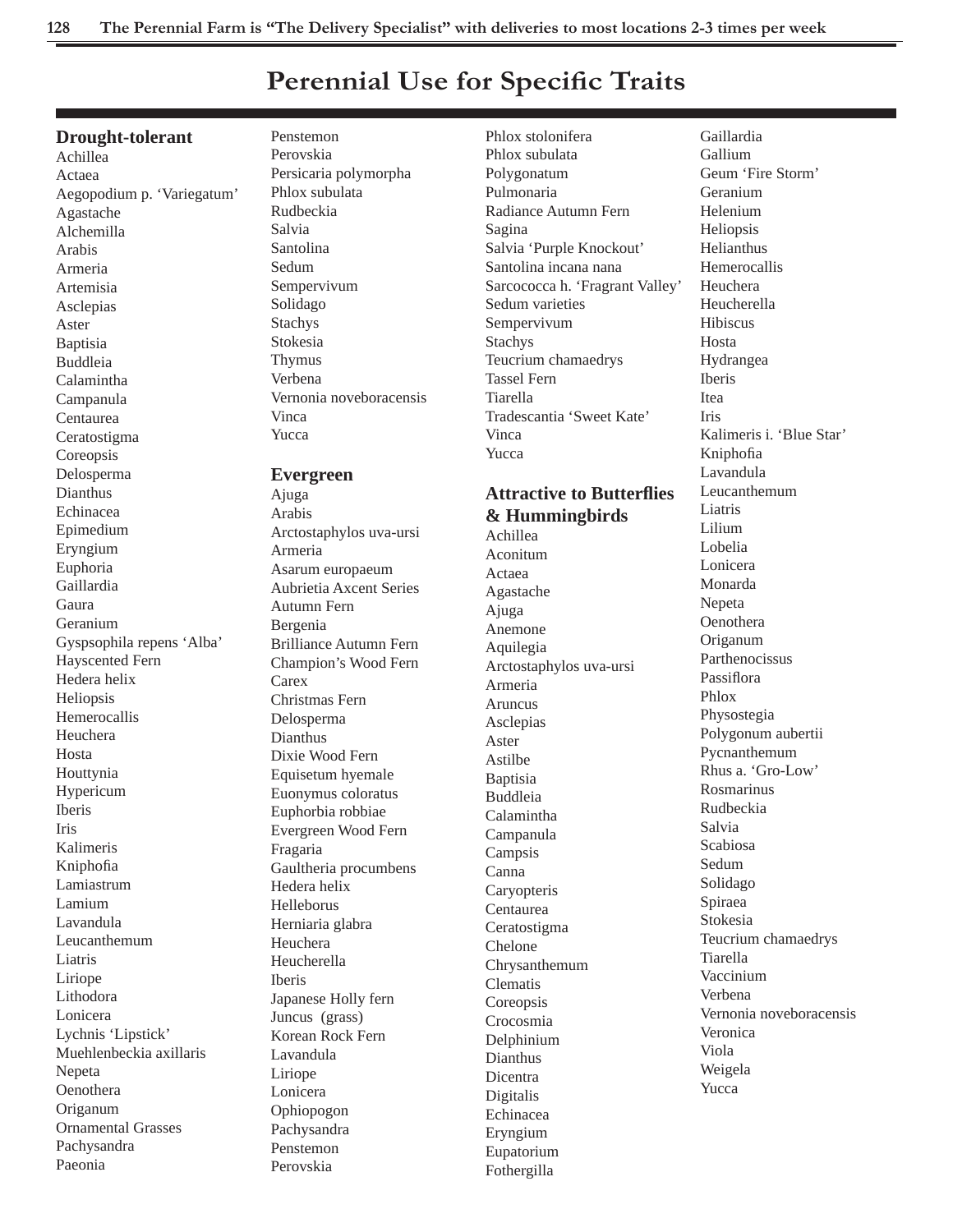# **Perennial Use for Specific Traits**

# **Drought-tolerant**

Achillea Actaea Aegopodium p. 'Variegatum' Agastache Alchemilla Arabis Armeria Artemisia Asclepias Aster Baptisia Buddleia Calamintha Campanula Centaurea Ceratostigma Coreopsis Delosperma Dianthus Echinacea Epimedium Eryngium Euphoria Gaillardia Gaura Geranium Gyspsophila repens 'Alba' Hayscented Fern Hedera helix Heliopsis Hemerocallis Heuchera Hosta Houttynia Hypericum Iberis Iris Kalimeris Kniphofia Lamiastrum Lamium Lavandula Leucanthemum Liatris Liriope Lithodora Lonicera Lychnis 'Lipstick' Muehlenbeckia axillaris Nepeta Oenothera Origanum Ornamental Grasses Pachysandra Paeonia

Penstemon Perovskia Persicaria polymorpha Phlox subulata Rudbeckia Salvia Santolina Sedum Sempervivum Solidago Stachys Stokesia Thymus Verbena Vernonia noveboracensis Vinca Yucca

# **Evergreen**

Ajuga Arabis Arctostaphylos uva-ursi Armeria Asarum europaeum Aubrietia Axcent Series Autumn Fern Bergenia Brilliance Autumn Fern Champion's Wood Fern **Carex** Christmas Fern Delosperma Dianthus Dixie Wood Fern Equisetum hyemale Euonymus coloratus Euphorbia robbiae Evergreen Wood Fern Fragaria Gaultheria procumbens Hedera helix Helleborus Herniaria glabra Heuchera Heucherella Iberis Japanese Holly fern Juncus (grass) Korean Rock Fern Lavandula Liriope Lonicera Ophiopogon Pachysandra Penstemon Perovskia

Phlox stolonifera Phlox subulata Polygonatum Pulmonaria Radiance Autumn Fern Sagina Salvia 'Purple Knockout' Santolina incana nana Sarcococca h. 'Fragrant Valley' Sedum varieties Sempervivum Stachys Teucrium chamaedrys Tassel Fern Tiarella Tradescantia 'Sweet Kate' Vinca Yucca

# **Attractive to Butterfl ies & Hummingbirds**

Achillea Aconitum Actaea Agastache Ajuga Anemone Aquilegia Arctostaphylos uva-ursi Armeria Aruncus Asclepias Aster Astilbe Baptisia Buddleia Calamintha Campanula Campsis Canna **Caryopteris** Centaurea Ceratostigma Chelone Chrysanthemum Clematis Coreopsis Crocosmia Delphinium Dianthus Dicentra Digitalis Echinacea Eryngium Eupatorium Fothergilla

Gaillardia Gallium Geum 'Fire Storm' Geranium Helenium Heliopsis Helianthus Hemerocallis Heuchera Heucherella Hibiscus Hosta Hydrangea Iberis Itea Iris Kalimeris i. 'Blue Star' Kniphofia Lavandula Leucanthemum Liatris Lilium Lobelia Lonicera Monarda Nepeta Oenothera Origanum Parthenocissus Passiflora Phlox Physostegia Polygonum aubertii Pycnanthemum Rhus a. 'Gro-Low' Rosmarinus Rudbeckia Salvia Scabiosa Sedum Solidago Spiraea Stokesia Teucrium chamaedrys Tiarella Vaccinium Verbena Vernonia noveboracensis Veronica Viola Weigela Yucca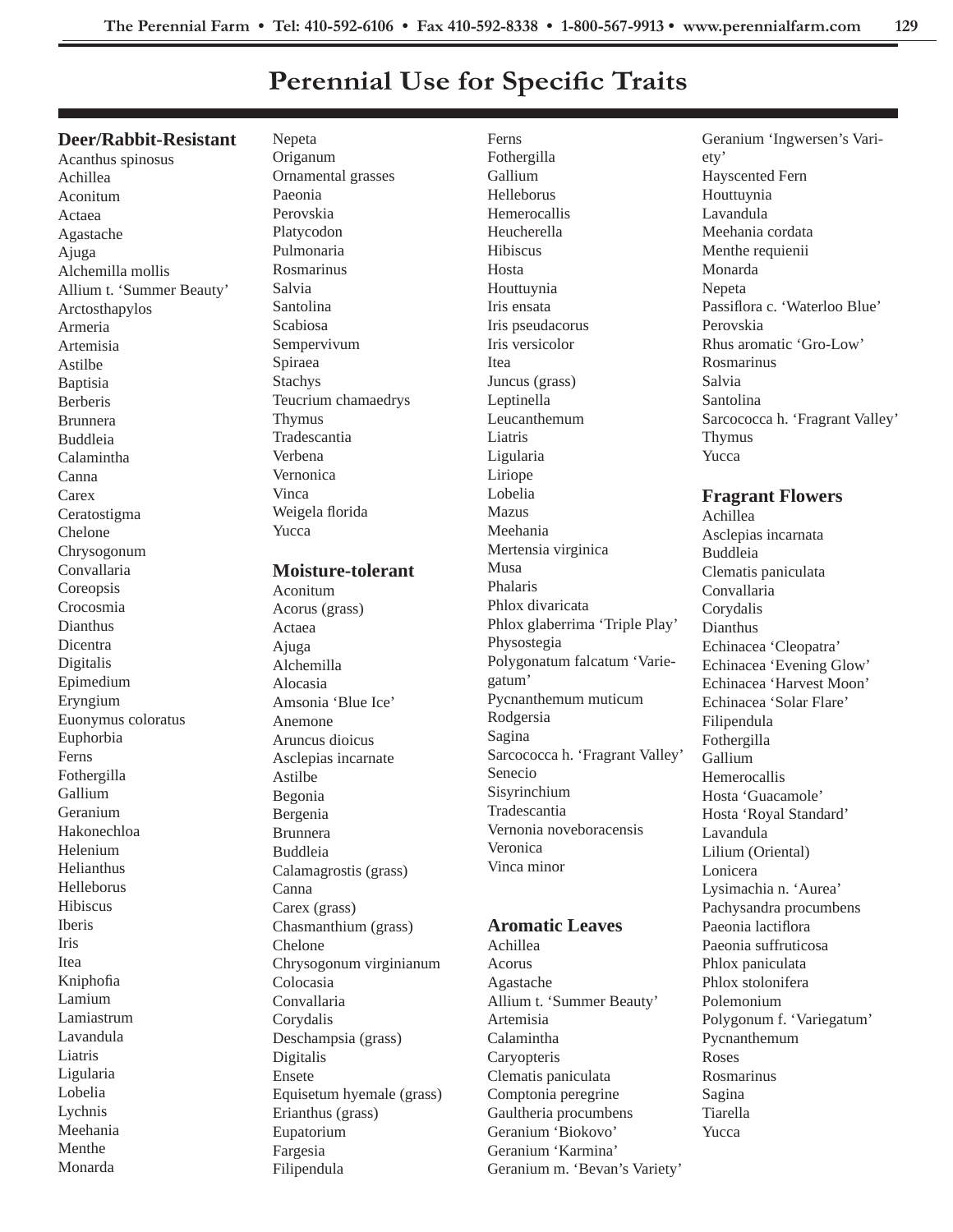Ferns

# **Perennial Use for Specific Traits**

### **Deer/Rabbit-Resistant**

Acanthus spinosus Achillea Aconitum Actaea Agastache Ajuga Alchemilla mollis Allium t. 'Summer Beauty' Arctosthapylos Armeria Artemisia Astilbe Baptisia Berberis Brunnera Buddleia Calamintha Canna **Carex** Ceratostigma Chelone Chrysogonum Convallaria Coreopsis Crocosmia Dianthus Dicentra Digitalis Epimedium Eryngium Euonymus coloratus Euphorbia Ferns Fothergilla Gallium Geranium Hakonechloa Helenium Helianthus Helleborus Hibiscus Iberis Iris Itea Kniphofia Lamium Lamiastrum Lavandula Liatris Ligularia Lobelia Lychnis Meehania Menthe Monarda

Nepeta Origanum Ornamental grasses Paeonia Perovskia Platycodon Pulmonaria Rosmarinus Salvia Santolina Scabiosa Sempervivum Spiraea Stachys Teucrium chamaedrys Thymus Tradescantia Verbena Vernonica Vinca Weigela florida Yucca

### **Moisture-tolerant**

Aconitum Acorus (grass) Actaea Ajuga Alchemilla Alocasia Amsonia 'Blue Ice' Anemone Aruncus dioicus Asclepias incarnate Astilbe Begonia Bergenia Brunnera Buddleia Calamagrostis (grass) Canna Carex (grass) Chasmanthium (grass) Chelone Chrysogonum virginianum Colocasia Convallaria Corydalis Deschampsia (grass) Digitalis Ensete Equisetum hyemale (grass) Erianthus (grass) Eupatorium Fargesia Filipendula

Fothergilla Gallium Helleborus Hemerocallis Heucherella Hibiscus Hosta Houttuynia Iris ensata Iris pseudacorus Iris versicolor Itea Juncus (grass) Leptinella Leucanthemum Liatris Ligularia Liriope Lobelia Mazus Meehania Mertensia virginica Musa Phalaris Phlox divaricata Phlox glaberrima 'Triple Play' Physostegia Polygonatum falcatum 'Variegatum' Pycnanthemum muticum Rodgersia Sagina Sarcococca h. 'Fragrant Valley' Senecio Sisyrinchium Tradescantia Vernonia noveboracensis Veronica Vinca minor

# **Aromatic Leaves**

Achillea Acorus Agastache Allium t. 'Summer Beauty' Artemisia Calamintha **Caryopteris** Clematis paniculata Comptonia peregrine Gaultheria procumbens Geranium 'Biokovo' Geranium 'Karmina' Geranium m. 'Bevan's Variety' Geranium 'Ingwersen's Variety' Hayscented Fern Houttuynia Lavandula Meehania cordata Menthe requienii Monarda **Nepeta** Passiflora c. 'Waterloo Blue' Perovskia Rhus aromatic 'Gro-Low' Rosmarinus Salvia Santolina Sarcococca h. 'Fragrant Valley' Thymus Yucca

# **Fragrant Flowers**

Achillea Asclepias incarnata Buddleia Clematis paniculata Convallaria Corydalis Dianthus Echinacea 'Cleopatra' Echinacea 'Evening Glow' Echinacea 'Harvest Moon' Echinacea 'Solar Flare' Filipendula Fothergilla Gallium Hemerocallis Hosta 'Guacamole' Hosta 'Royal Standard' Lavandula Lilium (Oriental) Lonicera Lysimachia n. 'Aurea' Pachysandra procumbens Paeonia lactiflora Paeonia suffruticosa Phlox paniculata Phlox stolonifera Polemonium Polygonum f. 'Variegatum' Pycnanthemum Roses Rosmarinus Sagina Tiarella Yucca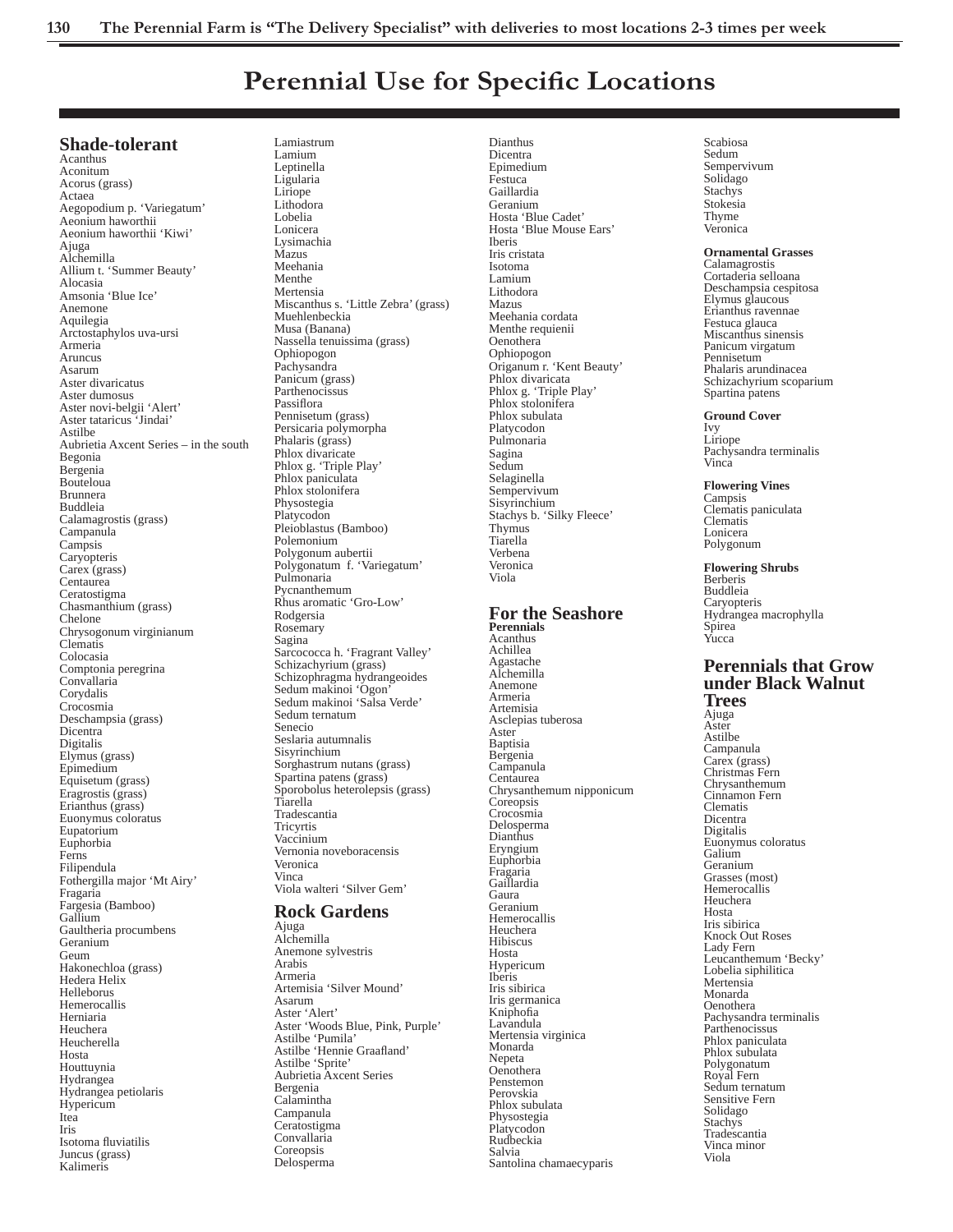# **Perennial Use for Specific Locations**

## **Shade-tolerant**

Acanthus Aconitum Acorus (grass) Actaea Aegopodium p. 'Variegatum' Aeonium haworthii Aeonium haworthii 'Kiwi' Ajuga Alchemilla Allium t. 'Summer Beauty' Alocasia Amsonia 'Blue Ice' Anemone Aquilegia Arctostaphylos uva-ursi Armeria Aruncus Asarum Aster divaricatus Aster dumosus Aster novi-belgii 'Alert' Aster tataricus 'Jindai' Astilbe Aubrietia Axcent Series – in the south Begonia Bergenia Bouteloua Brunnera Buddleia Calamagrostis (grass) Campanula **Campsis Caryopteris** Carex (grass) Centaurea Ceratostigma Chasmanthium (grass) Chelone Chrysogonum virginianum Clematis Colocasia Comptonia peregrina Convallaria Corydalis Crocosmia Deschampsia (grass) Dicentra Digitalis Elymus (grass) Epimedium Equisetum (grass) Eragrostis (grass) Erianthus (grass) Euonymus coloratus Eupatorium Euphorbia Ferns Filipendula Fothergilla major 'Mt Airy' Fragaria Fargesia (Bamboo) Gallium Gaultheria procumbens Geranium Geum Hakonechloa (grass) Hedera Helix Helleborus Hemerocallis Herniaria Heuchera Heucherella Hosta Houttuynia Hydrangea Hydrangea petiolaris Hypericum Itea Iris Isotoma fluviatilis Juncus (grass) Kalimeris

Lamiastrum Lamium Leptinella Ligularia Liriope Lithodora Lobelia Lonicera Lysimachia Mazus Meehania Menthe Mertensia Miscanthus s. 'Little Zebra' (grass) Muehlenbeckia Musa (Banana) Nassella tenuissima (grass) Ophiopogon Pachysandra Panicum (grass) Parthenocissus Passiflora Pennisetum (grass) Persicaria polymorpha Phalaris (grass) Phlox divaricate Phlox g. 'Triple Play' Phlox paniculata Phlox stolonifera Physostegia Platycodon Pleioblastus (Bamboo) Polemonium Polygonum aubertii Polygonatum f. 'Variegatum' Pulmonaria Pycnanthemum Rhus aromatic 'Gro-Low' Rodgersia Rosemary Sagina Sarcococca h. 'Fragrant Valley' Schizachyrium (grass) Schizophragma hydrangeoides Sedum makinoi 'Ogon' Sedum makinoi 'Salsa Verde' Sedum ternatum Senecio Seslaria autumnalis Sisyrinchium Sorghastrum nutans (grass) Spartina patens (grass) Sporobolus heterolepsis (grass) Tiarella Tradescantia **Tricyrtis** Vaccinium Vernonia noveboracensis Veronica Vinca Viola walteri 'Silver Gem' **Rock Gardens** 

Ajuga Alchemilla Anemone sylvestris Arabis Armeria Artemisia 'Silver Mound' Asarum Aster 'Alert' Aster 'Woods Blue, Pink, Purple' Astilbe 'Pumila' Astilbe 'Hennie Graafland' Astilbe 'Sprite' Aubrietia Axcent Series Bergenia Calamintha Campanula Ceratostigma Convallaria Coreopsis Delosperma

Dianthus Dicentra Epimedium Festuca Gaillardia Geranium Hosta 'Blue Cadet' Hosta 'Blue Mouse Ears' Iberis Iris cristata Isotoma Lamium Lithodora Mazus Meehania cordata Menthe requienii Oenothera Ophiopogon Origanum r. 'Kent Beauty' Phlox divaricata Phlox g. 'Triple Play' Phlox stolonifera Phlox subulata Platycodon Pulmonaria Sagina Sedum Selaginella Sempervivum Sisyrinchium Stachys b. 'Silky Fleece' Thymus Tiarella Verbena Veronica Viola

#### **For the Seashore Perennials**

Acanthus Achillea Agastache Alchemilla Anemone Armeria Artemisia Asclepias tuberosa Aster Baptisia Bergenia Campanula Centaurea Chrysanthemum nipponicum **Coreopsis** Crocosmia Delosperma Dianthus Eryngium Euphorbia Fragaria Gaillardia Gaura Geranium Hemerocallis Heuchera Hibiscus Hosta Hypericum Iberis Iris sibirica Iris germanica Kniphofia<br>Lavandula Mertensia virginica Monarda Nepeta Oenothera Penstemon Perovskia Phlox subulata Physostegia Platycodon Rudbeckia Salvia Santolina chamaecyparis

Scabiosa Sedum Sempervivum Solidago Stachys Stokesia Thyme Veronica

#### **Ornamental Grasses**

Calamagrostis Cortaderia selloana Deschampsia cespitosa Elymus glaucous Erianthus ravennae Festuca glauca Miscanthus sinensis Panicum virgatum Pennisetum Phalaris arundinacea Schizachyrium scoparium Spartina patens

#### **Ground Cover**

Ivy Liriope Pachysandra terminalis Vinca

**Flowering Vines** Campsis Clematis paniculata Clematis Lonicera Polygonum

#### **Flowering Shrubs** Berberis

Buddleia Caryopteris Hydrangea macrophylla Spirea Yucca

## **Perennials that Grow under Black Walnut Trees**

Ajuga Aster Astilbe Campanula Carex (grass) Christmas Fern Chrysanthemum Cinnamon Fern Clematis Dicentra Digitalis Euonymus coloratus Galium Geranium Grasses (most) Hemerocallis Heuchera Hosta Iris sibirica Knock Out Roses Lady Fern Leucanthemum 'Becky' Lobelia siphilitica Mertensia Monarda Oenothera Pachysandra terminalis Parthenocissus Phlox paniculata Phlox subulata Polygonatum Royal Fern Sedum ternatum Sensitive Fern Solidago Stachys Tradescantia Vinca minor Viola